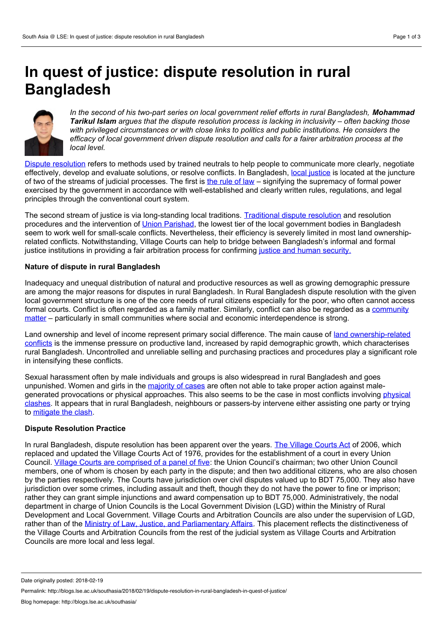# **In quest of justice: dispute resolution in rural Bangladesh**



*In the second of his two-part series on local government relief efforts in rural Bangladesh, Mohammad Tarikul Islam argues that the dispute resolution process is lacking in inclusivity – often backing those with privileged circumstances or with close links to politics and public institutions. He considers the efficacy of local government driven dispute resolution and calls for a fairer arbitration process at the local level.*

Dispute [resolution](http://www.businessdictionary.com/definition/dispute-resolution.html) refers to methods used by trained neutrals to help people to communicate more clearly, negotiate effectively, develop and evaluate solutions, or resolve conflicts. In Bangladesh, local [justice](http://personal.lse.ac.uk/lewisd/images/Lewis&H-SidaStudies-22.pdf) is located at the juncture of two of the streams of judicial processes. The first is the [rule](http://www.panchayatgyan.gov.in/documents/30336/138533/10+Role+of+Local.pdf/e64ebe1d-f9de-4012-8433-83ccbf80d83f) of law – signifying the supremacy of formal power exercised by the government in accordance with well-established and clearly written rules, regulations, and legal principles through the conventional court system.

The second stream of justice is via long-standing local traditions. [Traditional](http://legalreliance.blogspot.com/2012/11/legislative-development-in-bangladesh.html#!/2012/11/legislative-development-in-bangladesh.html) dispute resolution and resolution procedures and the intervention of Union [Parishad,](http://old.lgd.gov.bd/index.php?option=com_content&view=article&id=10&Itemid=48&lang=en) the lowest tier of the local government bodies in Bangladesh seem to work well for small-scale conflicts. Nevertheless, their efficiency is severely limited in most land ownershiprelated conflicts. Notwithstanding, Village Courts can help to bridge between Bangladesh's informal and formal justice institutions in providing a fair arbitration process for confirming justice and human [security.](https://www.qut.edu.au/study/unit?unitCode=JSB270&year=2015)

## **Nature of dispute in rural Bangladesh**

Inadequacy and unequal distribution of natural and productive resources as well as growing demographic pressure are among the major reasons for disputes in rural Bangladesh. In Rural Bangladesh dispute resolution with the given local government structure is one of the core needs of rural citizens especially for the poor, who often cannot access formal courts. Conflict is often regarded as a family matter. Similarly, conflict can also be regarded as a community matter – particularly in small communities where social and economic [interdependence](http://www.thedailystar.net/law-our-rights/quest-functional-community-policing-1500481) is strong.

Land ownership and level of income represent primary social difference. The main cause of land [ownership-related](http://www.dhakatribune.com/bangladesh/2014/08/11/study-land-conflicts-remain-a-serious-issue-in-bangladesh/) conflicts is the immense pressure on productive land, increased by rapid demographic growth, which characterises rural Bangladesh. Uncontrolled and unreliable selling and purchasing practices and procedures play a significant role in intensifying these conflicts.

Sexual harassment often by male individuals and groups is also widespread in rural Bangladesh and goes unpunished. Women and girls in the [majority](http://jhss-khazar.org/wp-content/uploads/2015/09/new-5.26.pdf) of cases are often not able to take proper action against malegenerated [provocations](http://journals.plos.org/plosone/article?id=10.1371/journal.pone.0187884) or physical approaches. This also seems to be the case in most conflicts involving physical clashes. It appears that in rural Bangladesh, neighbours or passers-by intervene either assisting one party ortrying to [mitigate](http://www.biliabd.org/article law/Vol-04/Farmanul Islam.pdf) the clash.

#### **Dispute Resolution Practice**

In rural Bangladesh, dispute resolution has been apparent over the years. The [Village](http://villagecourts.org/VC Act.php) Courts Act of 2006, which replaced and updated the Village Courts Act of 1976, provides for the establishment of a court in every Union Council. Village Courts are [comprised](http://www.bd.undp.org/content/bangladesh/en/home/operations/projects/democratic_governance/activating-village-courts-in-bangladesh/avc-home.html) of a panel of five: the Union Council's chairman; two other Union Council members, one of whom is chosen by each party in the dispute; and then two additional citizens, who are also chosen by the parties respectively. The Courts have jurisdiction over civil disputes valued up to BDT 75,000. They also have jurisdiction over some crimes, including assault and theft, though they do not have the power to fine or imprison; rather they can grant simple injunctions and award compensation up to BDT 75,000. Administratively, the nodal department in charge of Union Councils is the Local Government Division (LGD) within the Ministry of Rural Development and Local Government. Village Courts and Arbitration Councils are also under the supervision of LGD, rather than of the Ministry of Law, Justice, and [Parliamentary](http://www.minlaw.gov.bd/) Affairs. This placement reflects the distinctiveness of the Village Courts and Arbitration Councils from the restof the judicial system as Village Courts and Arbitration Councils are more local and less legal.

Date originally posted: 2018-02-19

Permalink: http://blogs.lse.ac.uk/southasia/2018/02/19/dispute-resolution-in-rural-bangladesh-in-quest-of-justice/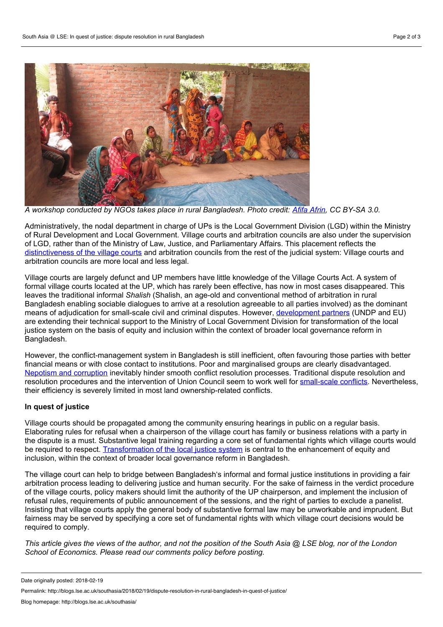

A workshop conducted by NGOs takes place in rural Bangladesh. Photo credit: Afifa [Afrin](https://commons.wikimedia.org/wiki/File:Workshop_and_meeting_in_Bangladeshi_village_conducted_by_NGOs_31.jpg), CC BY-SA 3.0.

Administratively, the nodal department in charge of UPs is the Local Government Division (LGD) within the Ministry of Rural Development and Local Government. Village courts and arbitration councils are also under the supervision of LGD, rather than of the Ministry of Law, Justice, and Parliamentary Affairs. This placement reflects the [distinctiveness](http://blogs.lse.ac.uk/southasia/2017/10/23/how-can-bangladesh-utilise-human-security-for-rural-development/) of the village courts and arbitration councils from the rest of the judicial system: Village courts and arbitration councils are more local and less legal.

Village courts are largely defunct and UP members have little knowledge of the Village Courts Act. A system of formal village courts located at the UP, which has rarely been effective, has now in most cases disappeared. This leaves the traditional informal *Shalish* (Shalish, an age-old and conventional method of arbitration in rural Bangladesh enabling sociable dialogues to arrive at a resolution agreeable to all parties involved) as the dominant means of adjudication for small-scale civil and criminal disputes. However, [development](http://www.bd.undp.org/content/bangladesh/en/home/operations/projects/democratic_governance/activating-village-courts-in-bangladesh/avc-home.html) partners (UNDP and EU) are extending their technical support to the Ministry of Local Government Division for transformation of the local justice system on the basis of equity and inclusion within the context of broader local governance reform in Bangladesh.

However, the conflict-management system in Bangladesh is still inefficient, often favouring those parties with better financial means orwith close contact to institutions. Poor and marginalised groups are clearly disadvantaged. Nepotism and corruption inevitably hinder smooth conflict resolution processes. Traditional dispute resolution and resolution procedures and the intervention of Union Council seem to work well for [small-scale](https://www.unicef.org/protection/files/INFORMAL_JUSTICE_SYSTEMS.pdf) conflicts. Nevertheless, their efficiency is severely limited in most land ownership-related conflicts.

## **In quest of justice**

Village courts should be propagated among the community ensuring hearings in public on a regular basis. Elaborating rules for refusal when a chairperson of the village court has family or business relations with a party in the dispute is a must. Substantive legal training regarding a core set of fundamental rights which village courts would be required to respect. [Transformation](http://www.thedailystar.net/law-our-rights/law-vision/make-village-courts-effective-1463968) of the local justice system is central to the enhancement of equity and inclusion, within the context of broader local governance reform in Bangladesh.

The village court can help to bridge between Bangladesh's informal and formal justice institutions in providing a fair arbitration process leading to delivering justice and human security. For the sake of fairness in the verdict procedure of the village courts, policy makers should limit the authority of the UP chairperson, and implement the inclusion of refusal rules, requirements of public announcement of the sessions, and the right of parties to exclude a panelist. Insisting that village courts apply the general body of substantive formal law may be unworkable and imprudent. But fairness may be served by specifying a core set of fundamental rights with which village court decisions would be required to comply.

This article gives the views of the author, and not the position of the South Asia @ LSE blog, nor of the London *School of Economics. Please read our comments policy before posting.*

Date originally posted: 2018-02-19

Permalink: http://blogs.lse.ac.uk/southasia/2018/02/19/dispute-resolution-in-rural-bangladesh-in-quest-of-justice/